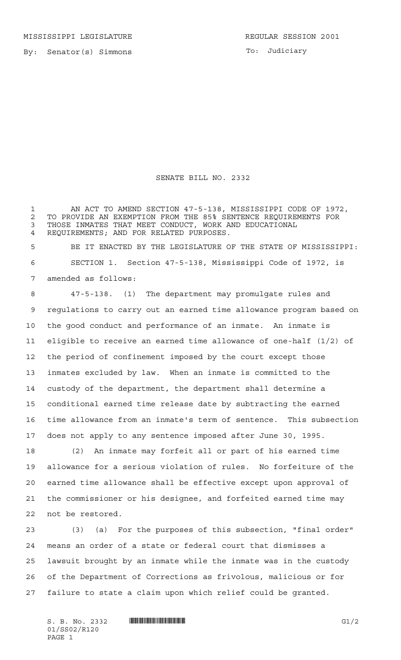To: Judiciary

## SENATE BILL NO. 2332

 AN ACT TO AMEND SECTION 47-5-138, MISSISSIPPI CODE OF 1972, 2 TO PROVIDE AN EXEMPTION FROM THE 85% SENTENCE REQUIREMENTS FOR<br>3 THOSE INMATES THAT MEET CONDUCT, WORK AND EDUCATIONAL THOSE INMATES THAT MEET CONDUCT, WORK AND EDUCATIONAL REQUIREMENTS; AND FOR RELATED PURPOSES.

 BE IT ENACTED BY THE LEGISLATURE OF THE STATE OF MISSISSIPPI: SECTION 1. Section 47-5-138, Mississippi Code of 1972, is amended as follows:

 47-5-138. (1) The department may promulgate rules and regulations to carry out an earned time allowance program based on the good conduct and performance of an inmate. An inmate is eligible to receive an earned time allowance of one-half (1/2) of the period of confinement imposed by the court except those inmates excluded by law. When an inmate is committed to the custody of the department, the department shall determine a conditional earned time release date by subtracting the earned time allowance from an inmate's term of sentence. This subsection does not apply to any sentence imposed after June 30, 1995.

 (2) An inmate may forfeit all or part of his earned time allowance for a serious violation of rules. No forfeiture of the earned time allowance shall be effective except upon approval of the commissioner or his designee, and forfeited earned time may not be restored.

 (3) (a) For the purposes of this subsection, "final order" means an order of a state or federal court that dismisses a lawsuit brought by an inmate while the inmate was in the custody of the Department of Corrections as frivolous, malicious or for failure to state a claim upon which relief could be granted.

01/SS02/R120 PAGE 1

 $S. B. No. 2332$  **INNIFICALLY EXAMPLE 10** G1/2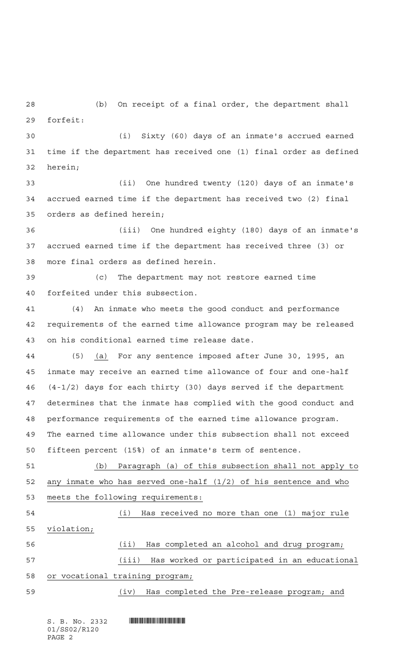(b) On receipt of a final order, the department shall forfeit:

 (i) Sixty (60) days of an inmate's accrued earned time if the department has received one (1) final order as defined herein;

 (ii) One hundred twenty (120) days of an inmate's accrued earned time if the department has received two (2) final orders as defined herein;

 (iii) One hundred eighty (180) days of an inmate's accrued earned time if the department has received three (3) or more final orders as defined herein.

 (c) The department may not restore earned time forfeited under this subsection.

 (4) An inmate who meets the good conduct and performance requirements of the earned time allowance program may be released on his conditional earned time release date.

 (5) (a) For any sentence imposed after June 30, 1995, an inmate may receive an earned time allowance of four and one-half (4-1/2) days for each thirty (30) days served if the department determines that the inmate has complied with the good conduct and performance requirements of the earned time allowance program. The earned time allowance under this subsection shall not exceed fifteen percent (15%) of an inmate's term of sentence.

 (b) Paragraph (a) of this subsection shall not apply to any inmate who has served one-half (1/2) of his sentence and who meets the following requirements:

 (i) Has received no more than one (1) major rule violation; (ii) Has completed an alcohol and drug program; (iii) Has worked or participated in an educational or vocational training program; (iv) Has completed the Pre-release program; and

 $S.$  B. No. 2332 **INNIFICAL REGIONAL PROPERTY** 01/SS02/R120 PAGE 2